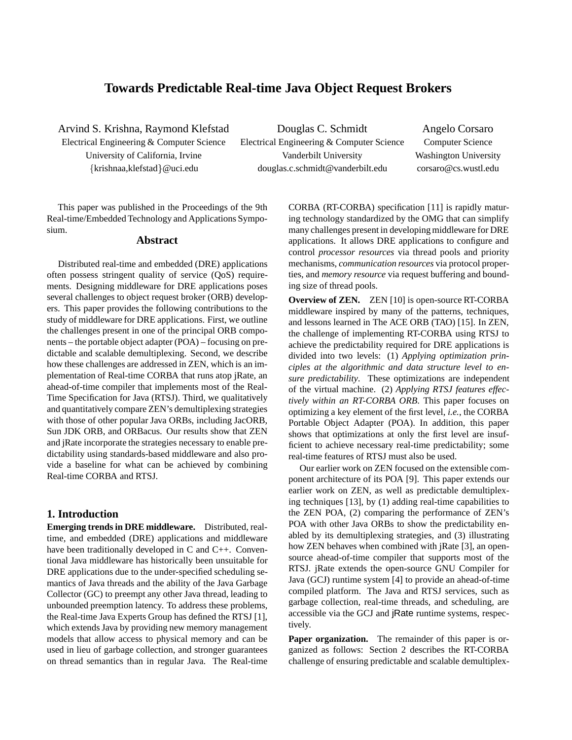# **Towards Predictable Real-time Java Object Request Brokers**

Arvind S. Krishna, Raymond Klefstad Douglas C. Schmidt Angelo Corsaro Electrical Engineering & Computer Science Electrical Engineering & Computer Science Computer Science

University of California, Irvine Vanderbilt University Washington University fkrishnaa,klefstadg@uci.edu douglas.c.schmidt@vanderbilt.edu corsaro@cs.wustl.edu

This paper was published in the Proceedings of the 9th Real-time/Embedded Technology and Applications Symposium.

## **Abstract**

Distributed real-time and embedded (DRE) applications often possess stringent quality of service (QoS) requirements. Designing middleware for DRE applications poses several challenges to object request broker (ORB) developers. This paper provides the following contributions to the study of middleware for DRE applications. First, we outline the challenges present in one of the principal ORB components – the portable object adapter (POA) – focusing on predictable and scalable demultiplexing. Second, we describe how these challenges are addressed in ZEN, which is an implementation of Real-time CORBA that runs atop jRate, an ahead-of-time compiler that implements most of the Real-Time Specification for Java (RTSJ). Third, we qualitatively and quantitatively compare ZEN's demultiplexing strategies with those of other popular Java ORBs, including JacORB, Sun JDK ORB, and ORBacus. Our results show that ZEN and jRate incorporate the strategies necessary to enable predictability using standards-based middleware and also provide a baseline for what can be achieved by combining Real-time CORBA and RTSJ.

### **1. Introduction**

**Emerging trends in DRE middleware.** Distributed, realtime, and embedded (DRE) applications and middleware have been traditionally developed in C and C++. Conventional Java middleware has historically been unsuitable for DRE applications due to the under-specified scheduling semantics of Java threads and the ability of the Java Garbage Collector (GC) to preempt any other Java thread, leading to unbounded preemption latency. To address these problems, the Real-time Java Experts Group has defined the RTSJ [1], which extends Java by providing new memory management models that allow access to physical memory and can be used in lieu of garbage collection, and stronger guarantees on thread semantics than in regular Java. The Real-time CORBA (RT-CORBA) specification [11] is rapidly maturing technology standardized by the OMG that can simplify many challenges present in developing middleware for DRE applications. It allows DRE applications to configure and control *processor resources* via thread pools and priority mechanisms, *communication resources* via protocol properties, and *memory resource* via request buffering and bounding size of thread pools.

**Overview of ZEN.** ZEN [10] is open-source RT-CORBA middleware inspired by many of the patterns, techniques, and lessons learned in The ACE ORB (TAO) [15]. In ZEN, the challenge of implementing RT-CORBA using RTSJ to achieve the predictability required for DRE applications is divided into two levels: (1) *Applying optimization principles at the algorithmic and data structure level to ensure predictability*. These optimizations are independent of the virtual machine. (2) *Applying RTSJ features effectively within an RT-CORBA ORB*. This paper focuses on optimizing a key element of the first level, *i.e.*, the CORBA Portable Object Adapter (POA). In addition, this paper shows that optimizations at only the first level are insufficient to achieve necessary real-time predictability; some real-time features of RTSJ must also be used.

Our earlier work on ZEN focused on the extensible component architecture of its POA [9]. This paper extends our earlier work on ZEN, as well as predictable demultiplexing techniques [13], by (1) adding real-time capabilities to the ZEN POA, (2) comparing the performance of ZEN's POA with other Java ORBs to show the predictability enabled by its demultiplexing strategies, and (3) illustrating how ZEN behaves when combined with jRate [3], an opensource ahead-of-time compiler that supports most of the RTSJ. jRate extends the open-source GNU Compiler for Java (GCJ) runtime system [4] to provide an ahead-of-time compiled platform. The Java and RTSJ services, such as garbage collection, real-time threads, and scheduling, are accessible via the GCJ and jRate runtime systems, respectively.

**Paper organization.** The remainder of this paper is organized as follows: Section 2 describes the RT-CORBA challenge of ensuring predictable and scalable demultiplex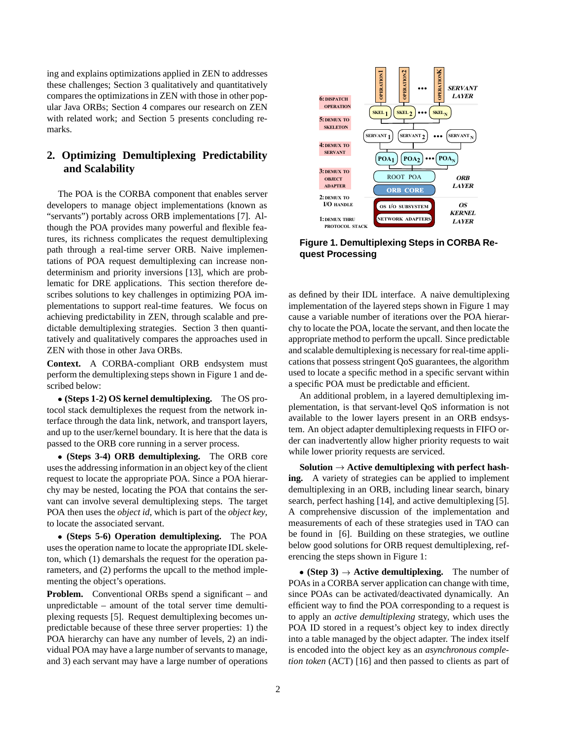ing and explains optimizations applied in ZEN to addresses these challenges; Section 3 qualitatively and quantitatively compares the optimizations in ZEN with those in other popular Java ORBs; Section 4 compares our research on ZEN with related work; and Section 5 presents concluding remarks.

## **2. Optimizing Demultiplexing Predictability and Scalability**

The POA is the CORBA component that enables server developers to manage object implementations (known as "servants") portably across ORB implementations [7]. Although the POA provides many powerful and flexible features, its richness complicates the request demultiplexing path through a real-time server ORB. Naive implementations of POA request demultiplexing can increase nondeterminism and priority inversions [13], which are problematic for DRE applications. This section therefore describes solutions to key challenges in optimizing POA implementations to support real-time features. We focus on achieving predictability in ZEN, through scalable and predictable demultiplexing strategies. Section 3 then quantitatively and qualitatively compares the approaches used in ZEN with those in other Java ORBs.

**Context.** A CORBA-compliant ORB endsystem must perform the demultiplexing steps shown in Figure 1 and described below:

 **(Steps 1-2) OS kernel demultiplexing.** The OS protocol stack demultiplexes the request from the network interface through the data link, network, and transport layers, and up to the user/kernel boundary. It is here that the data is passed to the ORB core running in a server process.

 **(Steps 3-4) ORB demultiplexing.** The ORB core uses the addressing information in an object key of the client request to locate the appropriate POA. Since a POA hierarchy may be nested, locating the POA that contains the servant can involve several demultiplexing steps. The target POA then uses the *object id*, which is part of the *object key*, to locate the associated servant.

 **(Steps 5-6) Operation demultiplexing.** The POA uses the operation name to locate the appropriate IDL skeleton, which (1) demarshals the request for the operation parameters, and (2) performs the upcall to the method implementing the object's operations.

**Problem.** Conventional ORBs spend a significant – and unpredictable – amount of the total server time demultiplexing requests [5]. Request demultiplexing becomes unpredictable because of these three server properties: 1) the POA hierarchy can have any number of levels, 2) an individual POA may have a large number of servants to manage, and 3) each servant may have a large number of operations



**Figure 1. Demultiplexing Steps in CORBA Request Processing**

as defined by their IDL interface. A naive demultiplexing implementation of the layered steps shown in Figure 1 may cause a variable number of iterations over the POA hierarchy to locate the POA, locate the servant, and then locate the appropriate method to perform the upcall. Since predictable and scalable demultiplexing is necessary for real-time applications that possess stringent QoS guarantees, the algorithm used to locate a specific method in a specific servant within a specific POA must be predictable and efficient.

An additional problem, in a layered demultiplexing implementation, is that servant-level QoS information is not available to the lower layers present in an ORB endsystem. An object adapter demultiplexing requests in FIFO order can inadvertently allow higher priority requests to wait while lower priority requests are serviced.

Solution  $\rightarrow$  Active demultiplexing with perfect hash**ing.** A variety of strategies can be applied to implement demultiplexing in an ORB, including linear search, binary search, perfect hashing [14], and active demultiplexing [5]. A comprehensive discussion of the implementation and measurements of each of these strategies used in TAO can be found in [6]. Building on these strategies, we outline below good solutions for ORB request demultiplexing, referencing the steps shown in Figure 1:

• **(Step 3)**  $\rightarrow$  **Active demultiplexing.** The number of POAs in a CORBA server application can change with time, since POAs can be activated/deactivated dynamically. An efficient way to find the POA corresponding to a request is to apply an *active demultiplexing* strategy, which uses the POA ID stored in a request's object key to index directly into a table managed by the object adapter. The index itself is encoded into the object key as an *asynchronous completion token* (ACT) [16] and then passed to clients as part of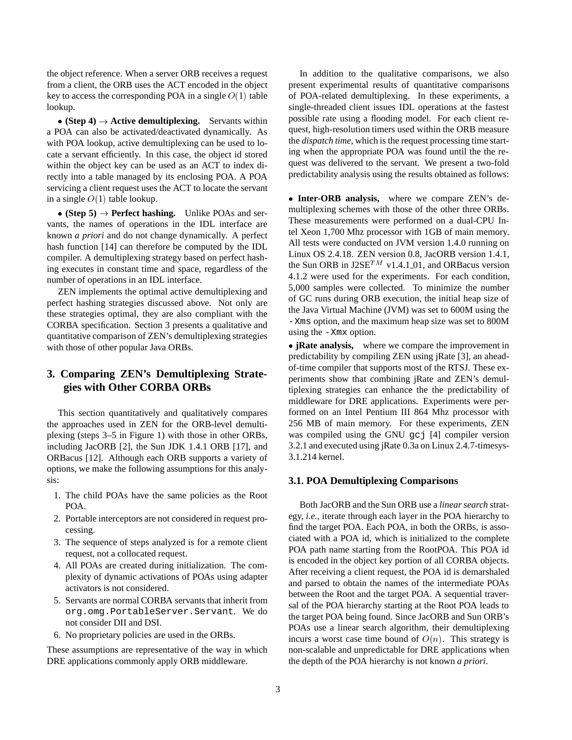the object reference. When a server ORB receives a request from a client, the ORB uses the ACT encoded in the object key to access the corresponding POA in a single  $O(1)$  table lookup.

• **(Step 4)**  $\rightarrow$  **Active demultiplexing.** Servants within a POA can also be activated/deactivated dynamically. As with POA lookup, active demultiplexing can be used to locate a servant efficiently. In this case, the object id stored within the object key can be used as an ACT to index directly into a table managed by its enclosing POA. A POA servicing a client request uses the ACT to locate the servant in a single  $O(1)$  table lookup.

•  $(\text{Step 5}) \rightarrow \text{Perfect hashing.}$  Unlike POAs and servants, the names of operations in the IDL interface are known *a priori* and do not change dynamically. A perfect hash function [14] can therefore be computed by the IDL compiler. A demultiplexing strategy based on perfect hashing executes in constant time and space, regardless of the number of operations in an IDL interface.

ZEN implements the optimal active demultiplexing and perfect hashing strategies discussed above. Not only are these strategies optimal, they are also compliant with the CORBA specification. Section 3 presents a qualitative and quantitative comparison of ZEN's demultiplexing strategies with those of other popular Java ORBs.

## **3. Comparing ZEN's Demultiplexing Strategies with Other CORBA ORBs**

This section quantitatively and qualitatively compares the approaches used in ZEN for the ORB-level demultiplexing (steps 3–5 in Figure 1) with those in other ORBs, including JacORB [2], the Sun JDK 1.4.1 ORB [17], and ORBacus [12]. Although each ORB supports a variety of options, we make the following assumptions for this analysis:

- 1. The child POAs have the same policies as the Root POA.
- 2. Portable interceptors are not considered in request processing.
- 3. The sequence of steps analyzed is for a remote client request, not a collocated request.
- 4. All POAs are created during initialization. The complexity of dynamic activations of POAs using adapter activators is not considered.
- 5. Servants are normal CORBA servants that inherit from org.omg.PortableServer.Servant. We do not consider DII and DSI.
- 6. No proprietary policies are used in the ORBs.

These assumptions are representative of the way in which DRE applications commonly apply ORB middleware.

In addition to the qualitative comparisons, we also present experimental results of quantitative comparisons of POA-related demultiplexing. In these experiments, a single-threaded client issues IDL operations at the fastest possible rate using a flooding model. For each client request, high-resolution timers used within the ORB measure the *dispatch time*, which is the request processing time starting when the appropriate POA was found until the the request was delivered to the servant. We present a two-fold predictability analysis using the results obtained as follows:

 **Inter-ORB analysis,** where we compare ZEN's demultiplexing schemes with those of the other three ORBs. These measurements were performed on a dual-CPU Intel Xeon 1,700 Mhz processor with 1GB of main memory. All tests were conducted on JVM version 1.4.0 running on Linux OS 2.4.18. ZEN version 0.8, JacORB version 1.4.1, the Sun ORB in J2SE<sup>TM</sup> v1.4.1 01, and ORBacus version 4.1.2 were used for the experiments. For each condition, 5,000 samples were collected. To minimize the number of GC runs during ORB execution, the initial heap size of the Java Virtual Machine (JVM) was set to 600M using the -Xms option, and the maximum heap size was set to 800M using the -Xmx option.

 **jRate analysis,** where we compare the improvement in predictability by compiling ZEN using jRate [3], an aheadof-time compiler that supports most of the RTSJ. These experiments show that combining jRate and ZEN's demultiplexing strategies can enhance the the predictability of middleware for DRE applications. Experiments were performed on an Intel Pentium III 864 Mhz processor with 256 MB of main memory. For these experiments, ZEN was compiled using the GNU gcj [4] compiler version 3.2.1 and executed using jRate 0.3a on Linux 2.4.7-timesys-3.1.214 kernel.

#### **3.1. POA Demultiplexing Comparisons**

Both JacORB and the Sun ORB use a *linear search* strategy, *i.e.*, iterate through each layer in the POA hierarchy to find the target POA. Each POA, in both the ORBs, is associated with a POA id, which is initialized to the complete POA path name starting from the RootPOA. This POA id is encoded in the object key portion of all CORBA objects. After receiving a client request, the POA id is demarshaled and parsed to obtain the names of the intermediate POAs between the Root and the target POA. A sequential traversal of the POA hierarchy starting at the Root POA leads to the target POA being found. Since JacORB and Sun ORB's POAs use a linear search algorithm, their demultiplexing incurs a worst case time bound of  $O(n)$ . This strategy is non-scalable and unpredictable for DRE applications when the depth of the POA hierarchy is not known *a priori*.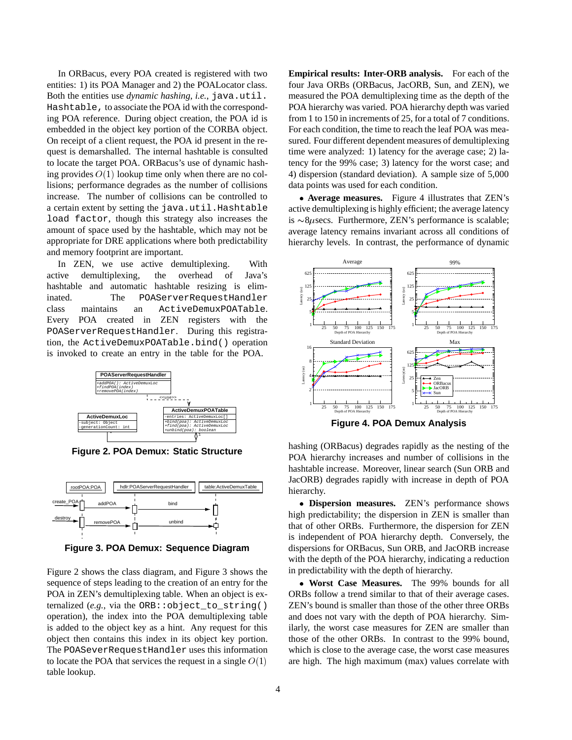In ORBacus, every POA created is registered with two entities: 1) its POA Manager and 2) the POALocator class. Both the entities use *dynamic hashing, i.e.*, java.util. Hashtable, to associate the POA id with the corresponding POA reference. During object creation, the POA id is embedded in the object key portion of the CORBA object. On receipt of a client request, the POA id present in the request is demarshalled. The internal hashtable is consulted to locate the target POA. ORBacus's use of dynamic hashing provides  $O(1)$  lookup time only when there are no collisions; performance degrades as the number of collisions increase. The number of collisions can be controlled to a certain extent by setting the java.util.Hashtable load factor, though this strategy also increases the amount of space used by the hashtable, which may not be appropriate for DRE applications where both predictability and memory footprint are important.

In ZEN, we use active demultiplexing. With active demultiplexing, the overhead of Java's hashtable and automatic hashtable resizing is eliminated. The POAServerRequestHandler class maintains an ActiveDemuxPOATable. Every POA created in ZEN registers with the POAServerRequestHandler. During this registration, the ActiveDemuxPOATable.bind() operation is invoked to create an entry in the table for the POA.



**Figure 2. POA Demux: Static Structure**



**Figure 3. POA Demux: Sequence Diagram**

Figure 2 shows the class diagram, and Figure 3 shows the sequence of steps leading to the creation of an entry for the POA in ZEN's demultiplexing table. When an object is externalized (*e.g.*, via the ORB::object\_to\_string() operation), the index into the POA demultiplexing table is added to the object key as a hint. Any request for this object then contains this index in its object key portion. The POASeverRequestHandler uses this information to locate the POA that services the request in a single  $O(1)$ table lookup.

**Empirical results: Inter-ORB analysis.** For each of the four Java ORBs (ORBacus, JacORB, Sun, and ZEN), we measured the POA demultiplexing time as the depth of the POA hierarchy was varied. POA hierarchy depth was varied from 1 to 150 in increments of 25, for a total of 7 conditions. For each condition, the time to reach the leaf POA was measured. Four different dependent measures of demultiplexing time were analyzed: 1) latency for the average case; 2) latency for the 99% case; 3) latency for the worst case; and 4) dispersion (standard deviation). A sample size of 5,000 data points was used for each condition.

 **Average measures.** Figure 4 illustrates that ZEN's active demultiplexing is highly efficient; the average latency is  $\sim$ 8 $\mu$ secs. Furthermore, ZEN's performance is scalable; average latency remains invariant across all conditions of hierarchy levels. In contrast, the performance of dynamic



**Figure 4. POA Demux Analysis**

hashing (ORBacus) degrades rapidly as the nesting of the POA hierarchy increases and number of collisions in the hashtable increase. Moreover, linear search (Sun ORB and JacORB) degrades rapidly with increase in depth of POA hierarchy.

 **Dispersion measures.** ZEN's performance shows high predictability; the dispersion in ZEN is smaller than that of other ORBs. Furthermore, the dispersion for ZEN is independent of POA hierarchy depth. Conversely, the dispersions for ORBacus, Sun ORB, and JacORB increase with the depth of the POA hierarchy, indicating a reduction in predictability with the depth of hierarchy.

 **Worst Case Measures.** The 99% bounds for all ORBs follow a trend similar to that of their average cases. ZEN's bound is smaller than those of the other three ORBs and does not vary with the depth of POA hierarchy. Similarly, the worst case measures for ZEN are smaller than those of the other ORBs. In contrast to the 99% bound, which is close to the average case, the worst case measures are high. The high maximum (max) values correlate with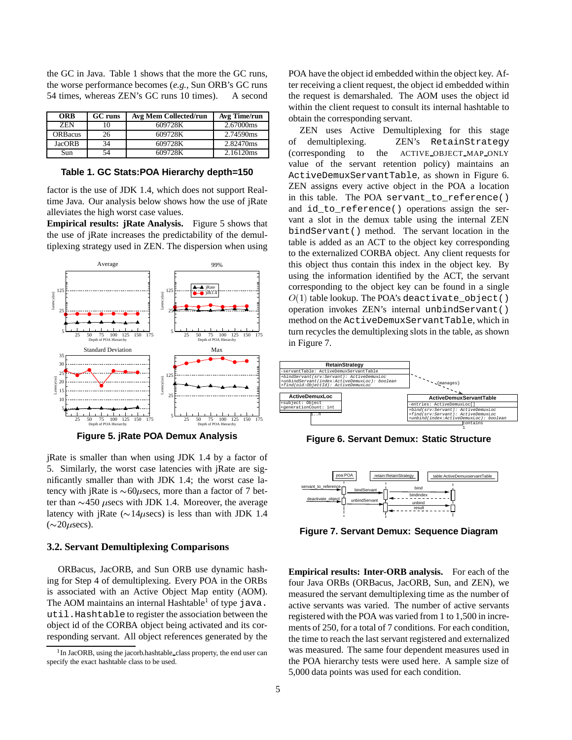the GC in Java. Table 1 shows that the more the GC runs, the worse performance becomes (*e.g.*, Sun ORB's GC runs 54 times, whereas ZEN's GC runs 10 times). A second

| <b>ORB</b>     | <b>GC</b> runs | Avg Mem Collected/run | Avg Time/run |
|----------------|----------------|-----------------------|--------------|
| <b>ZEN</b>     | 10             | 609728K               | 2.67000ms    |
| <b>ORBacus</b> | 26             | 609728K               | 2.74590ms    |
| <b>JacORB</b>  | 34             | 609728K               | 2.82470ms    |
| Sun            | 54             | 609728K               | 2.16120ms    |

**Table 1. GC Stats:POA Hierarchy depth=150**

factor is the use of JDK 1.4, which does not support Realtime Java. Our analysis below shows how the use of jRate alleviates the high worst case values.

**Empirical results: jRate Analysis.** Figure 5 shows that the use of jRate increases the predictability of the demultiplexing strategy used in ZEN. The dispersion when using



**Figure 5. jRate POA Demux Analysis**

jRate is smaller than when using JDK 1.4 by a factor of 5. Similarly, the worst case latencies with jRate are significantly smaller than with JDK 1.4; the worst case latency with jRate is  $\sim 60\mu$ secs, more than a factor of 7 better than  $\sim$ 450  $\mu$ secs with JDK 1.4. Moreover, the average latency with jRate ( $\sim$ 14 $\mu$ secs) is less than with JDK 1.4  $(\sim 20 \mu \text{secs}).$ 

#### **3.2. Servant Demultiplexing Comparisons**

ORBacus, JacORB, and Sun ORB use dynamic hashing for Step 4 of demultiplexing. Every POA in the ORBs is associated with an Active Object Map entity (AOM). The AOM maintains an internal Hashtable<sup>1</sup> of type  $\exists$  ava. util.Hashtable to register the association between the object id of the CORBA object being activated and its corresponding servant. All object references generated by the

<sup>1</sup>In JacORB, using the jacorb.hashtable\_class property, the end user can specify the exact hashtable class to be used.

POA have the object id embedded within the object key. After receiving a client request, the object id embedded within the request is demarshaled. The AOM uses the object id within the client request to consult its internal hashtable to obtain the corresponding servant.

ZEN uses Active Demultiplexing for this stage of demultiplexing. ZEN's RetainStrategy (corresponding to the ACTIVE OBJECT MAP ONLY value of the servant retention policy) maintains an ActiveDemuxServantTable, as shown in Figure 6. ZEN assigns every active object in the POA a location in this table. The POA servant\_to\_reference() and id\_to\_reference() operations assign the servant a slot in the demux table using the internal ZEN bindServant() method. The servant location in the table is added as an ACT to the object key corresponding to the externalized CORBA object. Any client requests for this object thus contain this index in the object key. By using the information identified by the ACT, the servant corresponding to the object key can be found in a single  $O(1)$  table lookup. The POA's deactivate\_object() operation invokes ZEN's internal unbindServant() method on the ActiveDemuxServantTable, which in turn recycles the demultiplexing slots in the table, as shown in Figure 7.



**Figure 6. Servant Demux: Static Structure**



**Figure 7. Servant Demux: Sequence Diagram**

**Empirical results: Inter-ORB analysis.** For each of the four Java ORBs (ORBacus, JacORB, Sun, and ZEN), we measured the servant demultiplexing time as the number of active servants was varied. The number of active servants registered with the POA was varied from 1 to 1,500 in increments of 250, for a total of 7 conditions. For each condition, the time to reach the last servant registered and externalized was measured. The same four dependent measures used in the POA hierarchy tests were used here. A sample size of 5,000 data points was used for each condition.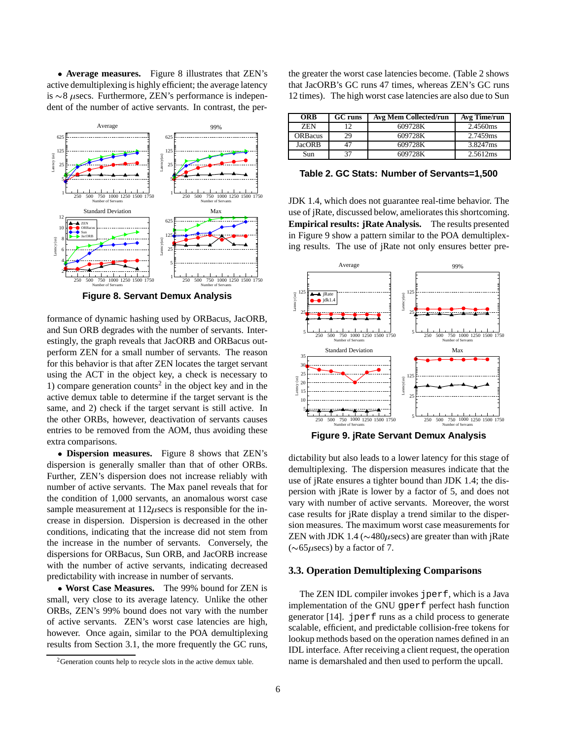**Average measures.** Figure 8 illustrates that ZEN's active demultiplexing is highly efficient; the average latency is  $\sim$ 8  $\mu$ secs. Furthermore, ZEN's performance is independent of the number of active servants. In contrast, the per-



**Figure 8. Servant Demux Analysis**

formance of dynamic hashing used by ORBacus, JacORB, and Sun ORB degrades with the number of servants. Interestingly, the graph reveals that JacORB and ORBacus outperform ZEN for a small number of servants. The reason for this behavior is that after ZEN locates the target servant using the ACT in the object key, a check is necessary to 1) compare generation counts<sup>2</sup> in the object key and in the active demux table to determine if the target servant is the same, and 2) check if the target servant is still active. In the other ORBs, however, deactivation of servants causes entries to be removed from the AOM, thus avoiding these extra comparisons.

 **Dispersion measures.** Figure 8 shows that ZEN's dispersion is generally smaller than that of other ORBs. Further, ZEN's dispersion does not increase reliably with number of active servants. The Max panel reveals that for the condition of 1,000 servants, an anomalous worst case sample measurement at  $112\mu$ secs is responsible for the increase in dispersion. Dispersion is decreased in the other conditions, indicating that the increase did not stem from the increase in the number of servants. Conversely, the dispersions for ORBacus, Sun ORB, and JacORB increase with the number of active servants, indicating decreased predictability with increase in number of servants.

 **Worst Case Measures.** The 99% bound for ZEN is small, very close to its average latency. Unlike the other ORBs, ZEN's 99% bound does not vary with the number of active servants. ZEN's worst case latencies are high, however. Once again, similar to the POA demultiplexing results from Section 3.1, the more frequently the GC runs,

the greater the worst case latencies become. (Table 2 shows that JacORB's GC runs 47 times, whereas ZEN's GC runs 12 times). The high worst case latencies are also due to Sun

| <b>ORB</b>     | <b>GC</b> runs | Avg Mem Collected/run | Avg Time/run |
|----------------|----------------|-----------------------|--------------|
| <b>ZEN</b>     | 12             | 609728K               | 2.4560ms     |
| <b>ORBacus</b> | 29             | 609728K               | 2.7459ms     |
| <b>JacORB</b>  | 47             | 609728K               | 3.8247ms     |
| Sun            | 37             | 609728K               | 2.5612ms     |

**Table 2. GC Stats: Number of Servants=1,500**

JDK 1.4, which does not guarantee real-time behavior. The use of jRate, discussed below, ameliorates this shortcoming. **Empirical results: jRate Analysis.** The results presented in Figure 9 show a pattern similar to the POA demultiplexing results. The use of jRate not only ensures better pre-



**Figure 9. jRate Servant Demux Analysis**

dictability but also leads to a lower latency for this stage of demultiplexing. The dispersion measures indicate that the use of jRate ensures a tighter bound than JDK 1.4; the dispersion with jRate is lower by a factor of 5, and does not vary with number of active servants. Moreover, the worst case results for jRate display a trend similar to the dispersion measures. The maximum worst case measurements for ZEN with JDK 1.4 ( $\sim$ 480 $\mu$ secs) are greater than with jRate  $(\sim 65 \mu$  secs) by a factor of 7.

### **3.3. Operation Demultiplexing Comparisons**

The ZEN IDL compiler invokes jperf, which is a Java implementation of the GNU gperf perfect hash function generator [14]. jperf runs as a child process to generate scalable, efficient, and predictable collision-free tokens for lookup methods based on the operation names defined in an IDL interface. After receiving a client request, the operation name is demarshaled and then used to perform the upcall.

<sup>2</sup>Generation counts help to recycle slots in the active demux table.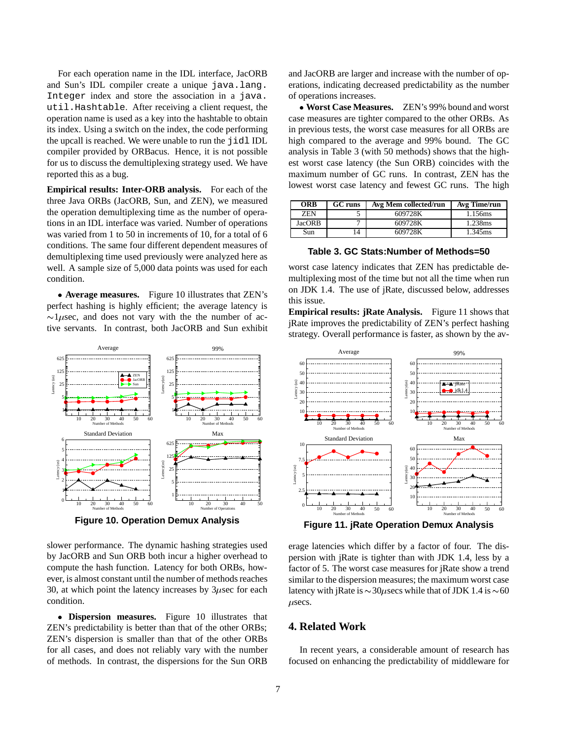For each operation name in the IDL interface, JacORB and Sun's IDL compiler create a unique java.lang. Integer index and store the association in a java. util.Hashtable. After receiving a client request, the operation name is used as a key into the hashtable to obtain its index. Using a switch on the index, the code performing the upcall is reached. We were unable to run the jidl IDL compiler provided by ORBacus. Hence, it is not possible for us to discuss the demultiplexing strategy used. We have reported this as a bug.

**Empirical results: Inter-ORB analysis.** For each of the three Java ORBs (JacORB, Sun, and ZEN), we measured the operation demultiplexing time as the number of operations in an IDL interface was varied. Number of operations was varied from 1 to 50 in increments of 10, for a total of 6 conditions. The same four different dependent measures of demultiplexing time used previously were analyzed here as well. A sample size of 5,000 data points was used for each condition.

 **Average measures.** Figure 10 illustrates that ZEN's perfect hashing is highly efficient; the average latency is  $\sim$ 1 $\mu$ sec, and does not vary with the the number of active servants. In contrast, both JacORB and Sun exhibit



**Figure 10. Operation Demux Analysis**

slower performance. The dynamic hashing strategies used by JacORB and Sun ORB both incur a higher overhead to compute the hash function. Latency for both ORBs, however, is almost constant until the number of methods reaches 30, at which point the latency increases by  $3\mu$ sec for each condition.

 **Dispersion measures.** Figure 10 illustrates that ZEN's predictability is better than that of the other ORBs; ZEN's dispersion is smaller than that of the other ORBs for all cases, and does not reliably vary with the number of methods. In contrast, the dispersions for the Sun ORB

and JacORB are larger and increase with the number of operations, indicating decreased predictability as the number of operations increases.

 **Worst Case Measures.** ZEN's 99% bound and worst case measures are tighter compared to the other ORBs. As in previous tests, the worst case measures for all ORBs are high compared to the average and 99% bound. The GC analysis in Table 3 (with 50 methods) shows that the highest worst case latency (the Sun ORB) coincides with the maximum number of GC runs. In contrast, ZEN has the lowest worst case latency and fewest GC runs. The high

| <b>ORB</b>    | <b>GC</b> runs | Avg Mem collected/run | Avg Time/run |
|---------------|----------------|-----------------------|--------------|
| <b>ZEN</b>    |                | 609728K               | 1.156ms      |
| <b>JacORB</b> |                | 609728K               | 1.238ms      |
| Sun           |                | 609728K               | 1.345ms      |

**Table 3. GC Stats:Number of Methods=50**

worst case latency indicates that ZEN has predictable demultiplexing most of the time but not all the time when run on JDK 1.4. The use of jRate, discussed below, addresses this issue.

**Empirical results: jRate Analysis.** Figure 11 shows that jRate improves the predictability of ZEN's perfect hashing strategy. Overall performance is faster, as shown by the av-



**Figure 11. jRate Operation Demux Analysis**

erage latencies which differ by a factor of four. The dispersion with jRate is tighter than with JDK 1.4, less by a factor of 5. The worst case measures for jRate show a trend similar to the dispersion measures; the maximum worst case latency with jRate is  $\sim 30\mu$ secs while that of JDK 1.4 is  $\sim 60$  $\mu$ secs.

## **4. Related Work**

In recent years, a considerable amount of research has focused on enhancing the predictability of middleware for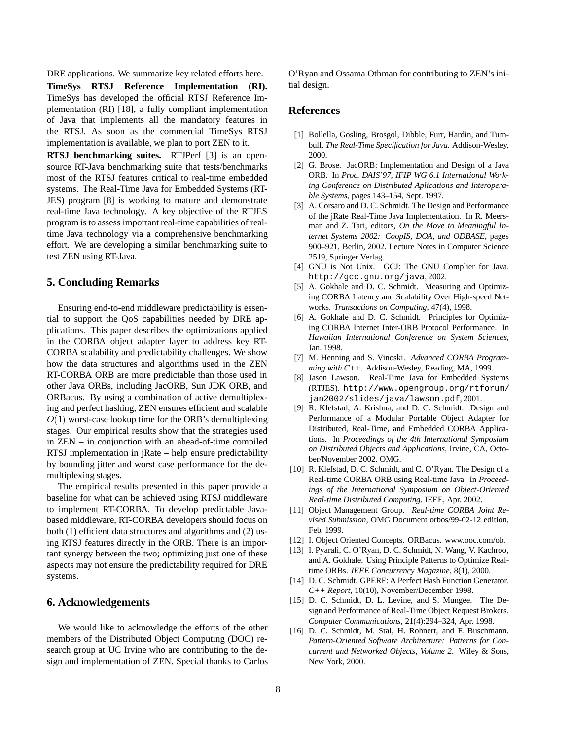DRE applications. We summarize key related efforts here.

**TimeSys RTSJ Reference Implementation (RI).** TimeSys has developed the official RTSJ Reference Implementation (RI) [18], a fully compliant implementation of Java that implements all the mandatory features in the RTSJ. As soon as the commercial TimeSys RTSJ implementation is available, we plan to port ZEN to it.

**RTSJ benchmarking suites.** RTJPerf [3] is an opensource RT-Java benchmarking suite that tests/benchmarks most of the RTSJ features critical to real-time embedded systems. The Real-Time Java for Embedded Systems (RT-JES) program [8] is working to mature and demonstrate real-time Java technology. A key objective of the RTJES program is to assess important real-time capabilities of realtime Java technology via a comprehensive benchmarking effort. We are developing a similar benchmarking suite to test ZEN using RT-Java.

## **5. Concluding Remarks**

Ensuring end-to-end middleware predictability is essential to support the QoS capabilities needed by DRE applications. This paper describes the optimizations applied in the CORBA object adapter layer to address key RT-CORBA scalability and predictability challenges. We show how the data structures and algorithms used in the ZEN RT-CORBA ORB are more predictable than those used in other Java ORBs, including JacORB, Sun JDK ORB, and ORBacus. By using a combination of active demultiplexing and perfect hashing, ZEN ensures efficient and scalable  $O(1)$  worst-case lookup time for the ORB's demultiplexing stages. Our empirical results show that the strategies used in ZEN – in conjunction with an ahead-of-time compiled RTSJ implementation in jRate – help ensure predictability by bounding jitter and worst case performance for the demultiplexing stages.

The empirical results presented in this paper provide a baseline for what can be achieved using RTSJ middleware to implement RT-CORBA. To develop predictable Javabased middleware, RT-CORBA developers should focus on both (1) efficient data structures and algorithms and (2) using RTSJ features directly in the ORB. There is an important synergy between the two; optimizing just one of these aspects may not ensure the predictability required for DRE systems.

## **6. Acknowledgements**

We would like to acknowledge the efforts of the other members of the Distributed Object Computing (DOC) research group at UC Irvine who are contributing to the design and implementation of ZEN. Special thanks to Carlos O'Ryan and Ossama Othman for contributing to ZEN's initial design.

#### **References**

- [1] Bollella, Gosling, Brosgol, Dibble, Furr, Hardin, and Turnbull. *The Real-Time Specification for Java*. Addison-Wesley, 2000.
- [2] G. Brose. JacORB: Implementation and Design of a Java ORB. In *Proc. DAIS'97, IFIP WG 6.1 International Working Conference on Distributed Aplications and Interoperable Systems*, pages 143–154, Sept. 1997.
- [3] A. Corsaro and D. C. Schmidt. The Design and Performance of the jRate Real-Time Java Implementation. In R. Meersman and Z. Tari, editors, *On the Move to Meaningful Internet Systems 2002: CoopIS, DOA, and ODBASE*, pages 900–921, Berlin, 2002. Lecture Notes in Computer Science 2519, Springer Verlag.
- [4] GNU is Not Unix. GCJ: The GNU Complier for Java. http://gcc.gnu.org/java, 2002.
- [5] A. Gokhale and D. C. Schmidt. Measuring and Optimizing CORBA Latency and Scalability Over High-speed Networks. *Transactions on Computing*, 47(4), 1998.
- [6] A. Gokhale and D. C. Schmidt. Principles for Optimizing CORBA Internet Inter-ORB Protocol Performance. In *Hawaiian International Conference on System Sciences*, Jan. 1998.
- [7] M. Henning and S. Vinoski. *Advanced CORBA Programming with C++*. Addison-Wesley, Reading, MA, 1999.
- [8] Jason Lawson. Real-Time Java for Embedded Systems (RTJES). http://www.opengroup.org/rtforum/ jan2002/slides/java/lawson.pdf, 2001.
- [9] R. Klefstad, A. Krishna, and D. C. Schmidt. Design and Performance of a Modular Portable Object Adapter for Distributed, Real-Time, and Embedded CORBA Applications. In *Proceedings of the 4th International Symposium on Distributed Objects and Applications*, Irvine, CA, October/November 2002. OMG.
- [10] R. Klefstad, D. C. Schmidt, and C. O'Ryan. The Design of a Real-time CORBA ORB using Real-time Java. In *Proceedings of the International Symposium on Object-Oriented Real-time Distributed Computing*. IEEE, Apr. 2002.
- [11] Object Management Group. *Real-time CORBA Joint Revised Submission*, OMG Document orbos/99-02-12 edition, Feb. 1999.
- [12] I. Object Oriented Concepts. ORBacus. www.ooc.com/ob.
- [13] I. Pyarali, C. O'Ryan, D. C. Schmidt, N. Wang, V. Kachroo, and A. Gokhale. Using Principle Patterns to Optimize Realtime ORBs. *IEEE Concurrency Magazine*, 8(1), 2000.
- [14] D. C. Schmidt. GPERF: A Perfect Hash Function Generator. *C++ Report*, 10(10), November/December 1998.
- [15] D. C. Schmidt, D. L. Levine, and S. Mungee. The Design and Performance of Real-Time Object Request Brokers. *Computer Communications*, 21(4):294–324, Apr. 1998.
- [16] D. C. Schmidt, M. Stal, H. Rohnert, and F. Buschmann. *Pattern-Oriented Software Architecture: Patterns for Concurrent and Networked Objects, Volume 2*. Wiley & Sons, New York, 2000.